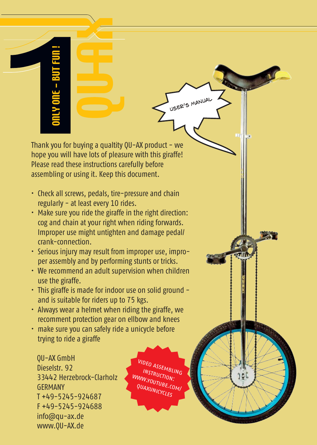Thank you for buying a qualtity  $QU-AX$  product - we hope you will have lots of pleasure with this giraffe! Please read these instructions carefully before assembling or using it. Keep this document.

- Check all screws, pedals, tire-pressure and chain regularly - at least every 10 rides.
- Make sure you ride the giraffe in the right direction: cog and chain at your right when riding forwards. Improper use might untighten and damage pedal/ crank-connection.
- Serious injury may result from improper use, improper assembly and by performing stunts or tricks.
- We recommend an adult supervision when children use the giraffe.
- This giraffe is made for indoor use on solid ground and is suitable for riders up to 75 kgs.
- Always wear a helmet when riding the giraffe, we recomment protection gear on ellbow and knees
- make sure you can safely ride a unicycle before trying to ride a giraffe

QU-AX GmbH Dieselstr. 92 33442 Herzebrock-Clarholz **GERMANY** T +49-5245-924687 F +49-5245-924688 info@qu-ax.de www.QU-AX.de

video assembling instruction: WWW.YOUTUBE.COM/ QUAXUNICYCLES

USER'S MANUAL